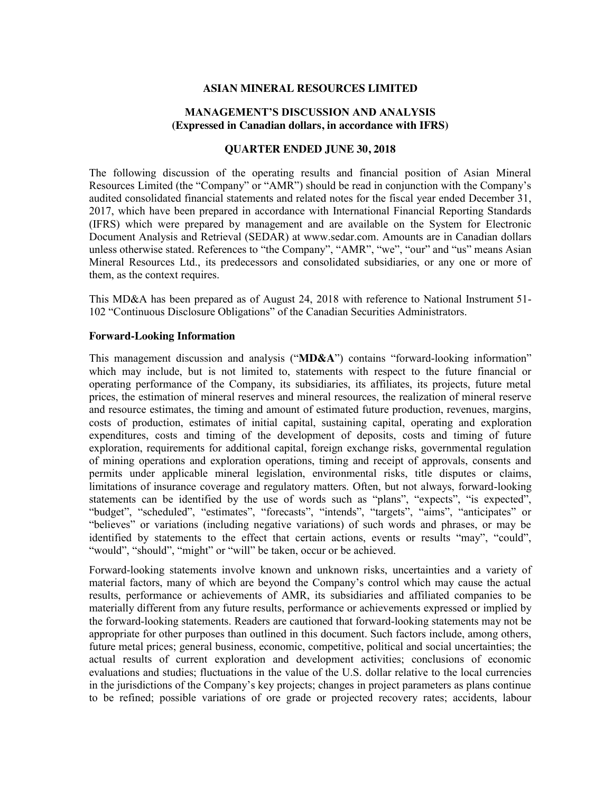#### **ASIAN MINERAL RESOURCES LIMITED**

#### **MANAGEMENT'S DISCUSSION AND ANALYSIS (Expressed in Canadian dollars, in accordance with IFRS)**

## **QUARTER ENDED JUNE 30, 2018**

The following discussion of the operating results and financial position of Asian Mineral Resources Limited (the "Company" or "AMR") should be read in conjunction with the Company's audited consolidated financial statements and related notes for the fiscal year ended December 31, 2017, which have been prepared in accordance with International Financial Reporting Standards (IFRS) which were prepared by management and are available on the System for Electronic Document Analysis and Retrieval (SEDAR) at www.sedar.com. Amounts are in Canadian dollars unless otherwise stated. References to "the Company", "AMR", "we", "our" and "us" means Asian Mineral Resources Ltd., its predecessors and consolidated subsidiaries, or any one or more of them, as the context requires.

This MD&A has been prepared as of August 24, 2018 with reference to National Instrument 51- 102 "Continuous Disclosure Obligations" of the Canadian Securities Administrators.

#### **Forward-Looking Information**

This management discussion and analysis ("**MD&A**") contains "forward-looking information" which may include, but is not limited to, statements with respect to the future financial or operating performance of the Company, its subsidiaries, its affiliates, its projects, future metal prices, the estimation of mineral reserves and mineral resources, the realization of mineral reserve and resource estimates, the timing and amount of estimated future production, revenues, margins, costs of production, estimates of initial capital, sustaining capital, operating and exploration expenditures, costs and timing of the development of deposits, costs and timing of future exploration, requirements for additional capital, foreign exchange risks, governmental regulation of mining operations and exploration operations, timing and receipt of approvals, consents and permits under applicable mineral legislation, environmental risks, title disputes or claims, limitations of insurance coverage and regulatory matters. Often, but not always, forward-looking statements can be identified by the use of words such as "plans", "expects", "is expected", "budget", "scheduled", "estimates", "forecasts", "intends", "targets", "aims", "anticipates" or "believes" or variations (including negative variations) of such words and phrases, or may be identified by statements to the effect that certain actions, events or results "may", "could", "would", "should", "might" or "will" be taken, occur or be achieved.

Forward-looking statements involve known and unknown risks, uncertainties and a variety of material factors, many of which are beyond the Company's control which may cause the actual results, performance or achievements of AMR, its subsidiaries and affiliated companies to be materially different from any future results, performance or achievements expressed or implied by the forward-looking statements. Readers are cautioned that forward-looking statements may not be appropriate for other purposes than outlined in this document. Such factors include, among others, future metal prices; general business, economic, competitive, political and social uncertainties; the actual results of current exploration and development activities; conclusions of economic evaluations and studies; fluctuations in the value of the U.S. dollar relative to the local currencies in the jurisdictions of the Company's key projects; changes in project parameters as plans continue to be refined; possible variations of ore grade or projected recovery rates; accidents, labour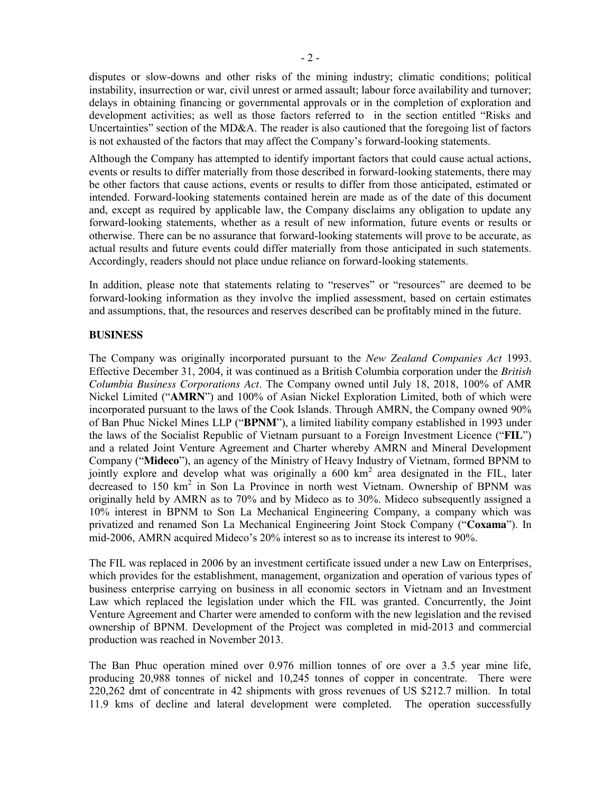disputes or slow-downs and other risks of the mining industry; climatic conditions; political instability, insurrection or war, civil unrest or armed assault; labour force availability and turnover; delays in obtaining financing or governmental approvals or in the completion of exploration and development activities; as well as those factors referred to in the section entitled "Risks and Uncertainties" section of the MD&A. The reader is also cautioned that the foregoing list of factors is not exhausted of the factors that may affect the Company's forward-looking statements.

Although the Company has attempted to identify important factors that could cause actual actions, events or results to differ materially from those described in forward-looking statements, there may be other factors that cause actions, events or results to differ from those anticipated, estimated or intended. Forward-looking statements contained herein are made as of the date of this document and, except as required by applicable law, the Company disclaims any obligation to update any forward-looking statements, whether as a result of new information, future events or results or otherwise. There can be no assurance that forward-looking statements will prove to be accurate, as actual results and future events could differ materially from those anticipated in such statements. Accordingly, readers should not place undue reliance on forward-looking statements.

In addition, please note that statements relating to "reserves" or "resources" are deemed to be forward-looking information as they involve the implied assessment, based on certain estimates and assumptions, that, the resources and reserves described can be profitably mined in the future.

#### **BUSINESS**

The Company was originally incorporated pursuant to the *New Zealand Companies Act* 1993. Effective December 31, 2004, it was continued as a British Columbia corporation under the *British Columbia Business Corporations Act*. The Company owned until July 18, 2018, 100% of AMR Nickel Limited ("**AMRN**") and 100% of Asian Nickel Exploration Limited, both of which were incorporated pursuant to the laws of the Cook Islands. Through AMRN, the Company owned 90% of Ban Phuc Nickel Mines LLP ("**BPNM**"), a limited liability company established in 1993 under the laws of the Socialist Republic of Vietnam pursuant to a Foreign Investment Licence ("**FIL**") and a related Joint Venture Agreement and Charter whereby AMRN and Mineral Development Company ("**Mideco**"), an agency of the Ministry of Heavy Industry of Vietnam, formed BPNM to jointly explore and develop what was originally a 600 km<sup>2</sup> area designated in the FIL. later decreased to 150 km<sup>2</sup> in Son La Province in north west Vietnam. Ownership of BPNM was originally held by AMRN as to 70% and by Mideco as to 30%. Mideco subsequently assigned a 10% interest in BPNM to Son La Mechanical Engineering Company, a company which was privatized and renamed Son La Mechanical Engineering Joint Stock Company ("**Coxama**"). In mid-2006, AMRN acquired Mideco's 20% interest so as to increase its interest to 90%.

The FIL was replaced in 2006 by an investment certificate issued under a new Law on Enterprises, which provides for the establishment, management, organization and operation of various types of business enterprise carrying on business in all economic sectors in Vietnam and an Investment Law which replaced the legislation under which the FIL was granted. Concurrently, the Joint Venture Agreement and Charter were amended to conform with the new legislation and the revised ownership of BPNM. Development of the Project was completed in mid-2013 and commercial production was reached in November 2013.

The Ban Phuc operation mined over 0.976 million tonnes of ore over a 3.5 year mine life, producing 20,988 tonnes of nickel and 10,245 tonnes of copper in concentrate. There were 220,262 dmt of concentrate in 42 shipments with gross revenues of US \$212.7 million. In total 11.9 kms of decline and lateral development were completed. The operation successfully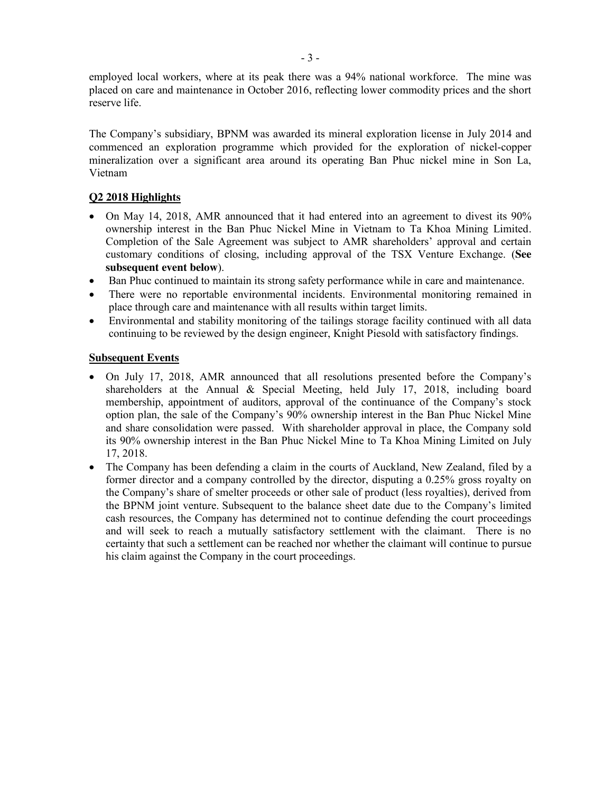employed local workers, where at its peak there was a 94% national workforce. The mine was placed on care and maintenance in October 2016, reflecting lower commodity prices and the short reserve life.

The Company's subsidiary, BPNM was awarded its mineral exploration license in July 2014 and commenced an exploration programme which provided for the exploration of nickel-copper mineralization over a significant area around its operating Ban Phuc nickel mine in Son La, Vietnam

# **Q2 2018 Highlights**

- On May 14, 2018, AMR announced that it had entered into an agreement to divest its  $90\%$ ownership interest in the Ban Phuc Nickel Mine in Vietnam to Ta Khoa Mining Limited. Completion of the Sale Agreement was subject to AMR shareholders' approval and certain customary conditions of closing, including approval of the TSX Venture Exchange. (**See subsequent event below**).
- Ban Phuc continued to maintain its strong safety performance while in care and maintenance.
- There were no reportable environmental incidents. Environmental monitoring remained in place through care and maintenance with all results within target limits.
- Environmental and stability monitoring of the tailings storage facility continued with all data continuing to be reviewed by the design engineer, Knight Piesold with satisfactory findings.

#### **Subsequent Events**

- On July 17, 2018, AMR announced that all resolutions presented before the Company's shareholders at the Annual & Special Meeting, held July 17, 2018, including board membership, appointment of auditors, approval of the continuance of the Company's stock option plan, the sale of the Company's 90% ownership interest in the Ban Phuc Nickel Mine and share consolidation were passed. With shareholder approval in place, the Company sold its 90% ownership interest in the Ban Phuc Nickel Mine to Ta Khoa Mining Limited on July 17, 2018.
- The Company has been defending a claim in the courts of Auckland, New Zealand, filed by a former director and a company controlled by the director, disputing a 0.25% gross royalty on the Company's share of smelter proceeds or other sale of product (less royalties), derived from the BPNM joint venture. Subsequent to the balance sheet date due to the Company's limited cash resources, the Company has determined not to continue defending the court proceedings and will seek to reach a mutually satisfactory settlement with the claimant. There is no certainty that such a settlement can be reached nor whether the claimant will continue to pursue his claim against the Company in the court proceedings.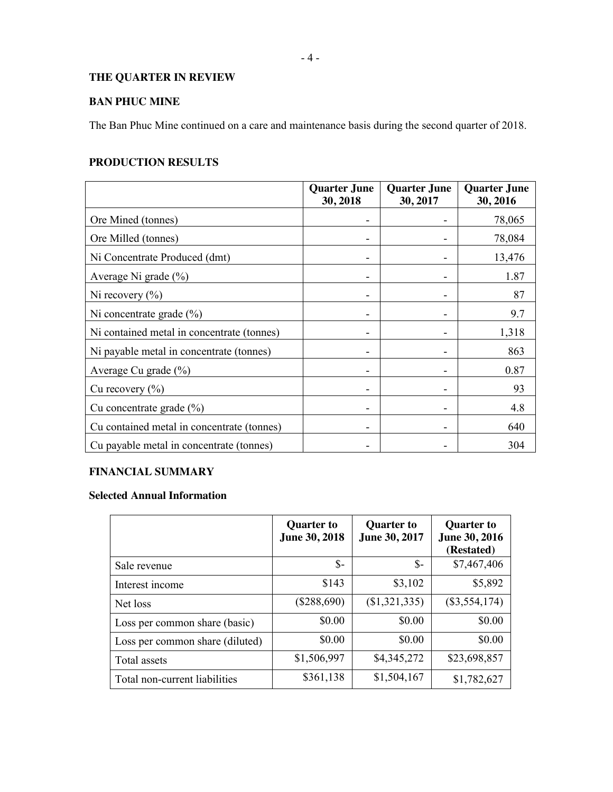# **THE QUARTER IN REVIEW**

# **BAN PHUC MINE**

The Ban Phuc Mine continued on a care and maintenance basis during the second quarter of 2018.

# **PRODUCTION RESULTS**

|                                            | <b>Quarter June</b><br>30, 2018 | <b>Quarter June</b><br>30, 2017 | <b>Quarter June</b><br>30, 2016 |
|--------------------------------------------|---------------------------------|---------------------------------|---------------------------------|
| Ore Mined (tonnes)                         |                                 |                                 | 78,065                          |
| Ore Milled (tonnes)                        |                                 |                                 | 78,084                          |
| Ni Concentrate Produced (dmt)              |                                 |                                 | 13,476                          |
| Average Ni grade $(\% )$                   |                                 |                                 | 1.87                            |
| Ni recovery $(\% )$                        |                                 |                                 | 87                              |
| Ni concentrate grade $(\% )$               |                                 |                                 | 9.7                             |
| Ni contained metal in concentrate (tonnes) |                                 |                                 | 1,318                           |
| Ni payable metal in concentrate (tonnes)   |                                 |                                 | 863                             |
| Average Cu grade $(\% )$                   |                                 |                                 | 0.87                            |
| Cu recovery $(\% )$                        |                                 |                                 | 93                              |
| Cu concentrate grade $(\% )$               |                                 |                                 | 4.8                             |
| Cu contained metal in concentrate (tonnes) |                                 |                                 | 640                             |
| Cu payable metal in concentrate (tonnes)   |                                 |                                 | 304                             |

# **FINANCIAL SUMMARY**

# **Selected Annual Information**

|                                 | <b>Quarter to</b><br>June 30, 2018 | <b>Quarter to</b><br>June 30, 2017 | <b>Quarter to</b><br>June 30, 2016<br>(Restated) |
|---------------------------------|------------------------------------|------------------------------------|--------------------------------------------------|
| Sale revenue                    | $S-$                               | \$-                                | \$7,467,406                                      |
| Interest income                 | \$143                              | \$3,102                            | \$5,892                                          |
| Net loss                        | $(\$288,690)$                      | (\$1,321,335)                      | $(\$3,554,174)$                                  |
| Loss per common share (basic)   | \$0.00                             | \$0.00                             | \$0.00                                           |
| Loss per common share (diluted) | \$0.00                             | \$0.00                             | \$0.00                                           |
| Total assets                    | \$1,506,997                        | \$4,345,272                        | \$23,698,857                                     |
| Total non-current liabilities   | \$361,138                          | \$1,504,167                        | \$1,782,627                                      |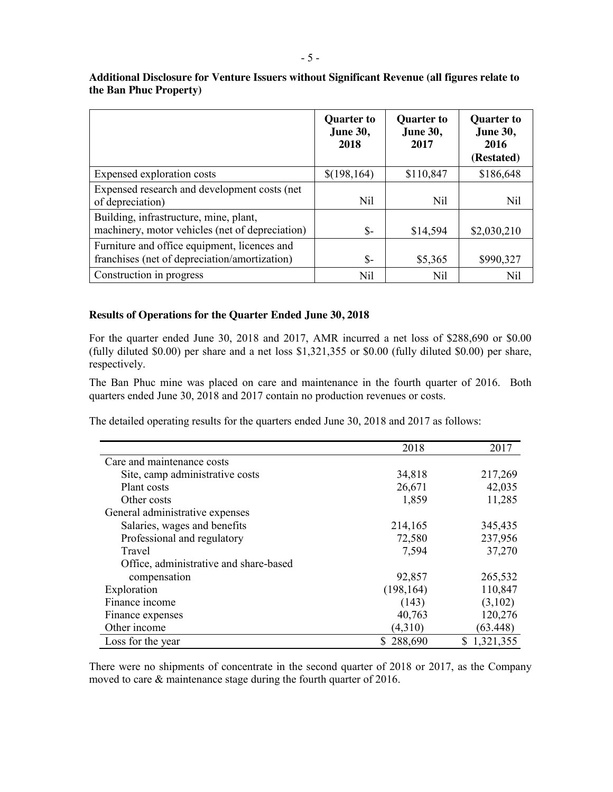|                                                                                               | <b>Quarter to</b><br><b>June 30,</b><br>2018 | <b>Quarter to</b><br><b>June 30,</b><br>2017 | <b>Ouarter to</b><br><b>June 30,</b><br>2016<br>(Restated) |
|-----------------------------------------------------------------------------------------------|----------------------------------------------|----------------------------------------------|------------------------------------------------------------|
| Expensed exploration costs                                                                    | \$(198, 164)                                 | \$110,847                                    | \$186,648                                                  |
| Expensed research and development costs (net)<br>of depreciation)                             | Nil                                          | Nil                                          | Nil                                                        |
| Building, infrastructure, mine, plant,<br>machinery, motor vehicles (net of depreciation)     | \$-                                          | \$14,594                                     | \$2,030,210                                                |
| Furniture and office equipment, licences and<br>franchises (net of depreciation/amortization) | \$-                                          | \$5,365                                      | \$990,327                                                  |
| Construction in progress                                                                      | Nil                                          | Nil                                          | Nil                                                        |

**Additional Disclosure for Venture Issuers without Significant Revenue (all figures relate to the Ban Phuc Property)**

#### **Results of Operations for the Quarter Ended June 30, 2018**

For the quarter ended June 30, 2018 and 2017, AMR incurred a net loss of \$288,690 or \$0.00 (fully diluted \$0.00) per share and a net loss \$1,321,355 or \$0.00 (fully diluted \$0.00) per share, respectively.

The Ban Phuc mine was placed on care and maintenance in the fourth quarter of 2016. Both quarters ended June 30, 2018 and 2017 contain no production revenues or costs.

The detailed operating results for the quarters ended June 30, 2018 and 2017 as follows:

|                                        | 2018       | 2017        |
|----------------------------------------|------------|-------------|
| Care and maintenance costs             |            |             |
| Site, camp administrative costs        | 34,818     | 217,269     |
| Plant costs                            | 26,671     | 42,035      |
| Other costs                            | 1,859      | 11,285      |
| General administrative expenses        |            |             |
| Salaries, wages and benefits           | 214,165    | 345,435     |
| Professional and regulatory            | 72,580     | 237,956     |
| Travel                                 | 7,594      | 37,270      |
| Office, administrative and share-based |            |             |
| compensation                           | 92,857     | 265,532     |
| Exploration                            | (198, 164) | 110,847     |
| Finance income                         | (143)      | (3,102)     |
| Finance expenses                       | 40,763     | 120,276     |
| Other income                           | (4,310)    | (63.448)    |
| Loss for the year                      | 288,690    | \$1,321,355 |

There were no shipments of concentrate in the second quarter of 2018 or 2017, as the Company moved to care  $\&$  maintenance stage during the fourth quarter of 2016.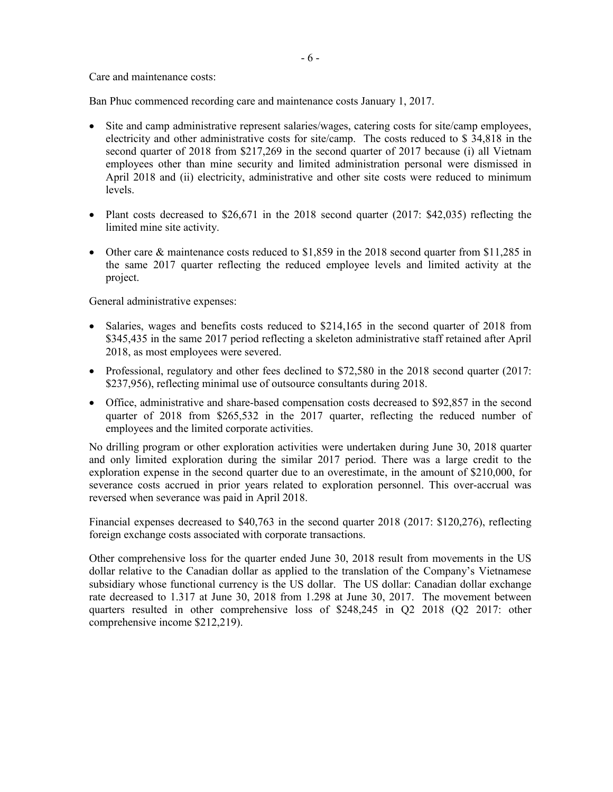Care and maintenance costs:

Ban Phuc commenced recording care and maintenance costs January 1, 2017.

- Site and camp administrative represent salaries/wages, catering costs for site/camp employees, electricity and other administrative costs for site/camp. The costs reduced to \$ 34,818 in the second quarter of 2018 from \$217,269 in the second quarter of 2017 because (i) all Vietnam employees other than mine security and limited administration personal were dismissed in April 2018 and (ii) electricity, administrative and other site costs were reduced to minimum levels.
- Plant costs decreased to  $$26,671$  in the 2018 second quarter (2017:  $$42,035$ ) reflecting the limited mine site activity.
- Other care & maintenance costs reduced to  $$1,859$  in the 2018 second quarter from \$11,285 in the same 2017 quarter reflecting the reduced employee levels and limited activity at the project.

General administrative expenses:

- Salaries, wages and benefits costs reduced to \$214,165 in the second quarter of 2018 from \$345,435 in the same 2017 period reflecting a skeleton administrative staff retained after April 2018, as most employees were severed.
- Professional, regulatory and other fees declined to  $$72,580$  in the 2018 second quarter (2017: \$237,956), reflecting minimal use of outsource consultants during 2018.
- Office, administrative and share-based compensation costs decreased to \$92,857 in the second quarter of 2018 from \$265,532 in the 2017 quarter, reflecting the reduced number of employees and the limited corporate activities.

No drilling program or other exploration activities were undertaken during June 30, 2018 quarter and only limited exploration during the similar 2017 period. There was a large credit to the exploration expense in the second quarter due to an overestimate, in the amount of \$210,000, for severance costs accrued in prior years related to exploration personnel. This over-accrual was reversed when severance was paid in April 2018.

Financial expenses decreased to \$40,763 in the second quarter 2018 (2017: \$120,276), reflecting foreign exchange costs associated with corporate transactions.

Other comprehensive loss for the quarter ended June 30, 2018 result from movements in the US dollar relative to the Canadian dollar as applied to the translation of the Company's Vietnamese subsidiary whose functional currency is the US dollar. The US dollar: Canadian dollar exchange rate decreased to 1.317 at June 30, 2018 from 1.298 at June 30, 2017. The movement between quarters resulted in other comprehensive loss of \$248,245 in Q2 2018 (Q2 2017: other comprehensive income \$212,219).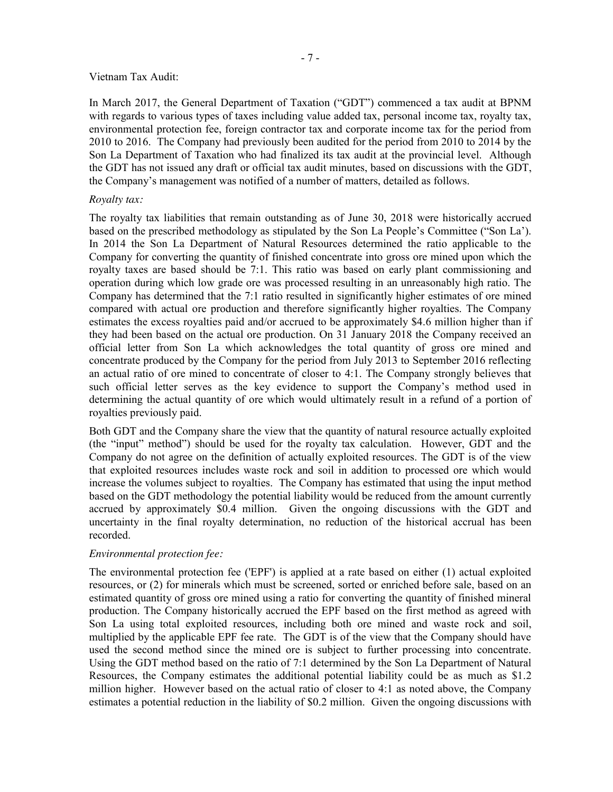#### Vietnam Tax Audit:

In March 2017, the General Department of Taxation ("GDT") commenced a tax audit at BPNM with regards to various types of taxes including value added tax, personal income tax, royalty tax, environmental protection fee, foreign contractor tax and corporate income tax for the period from 2010 to 2016. The Company had previously been audited for the period from 2010 to 2014 by the Son La Department of Taxation who had finalized its tax audit at the provincial level. Although the GDT has not issued any draft or official tax audit minutes, based on discussions with the GDT, the Company's management was notified of a number of matters, detailed as follows.

## *Royalty tax:*

The royalty tax liabilities that remain outstanding as of June 30, 2018 were historically accrued based on the prescribed methodology as stipulated by the Son La People's Committee ("Son La'). In 2014 the Son La Department of Natural Resources determined the ratio applicable to the Company for converting the quantity of finished concentrate into gross ore mined upon which the royalty taxes are based should be 7:1. This ratio was based on early plant commissioning and operation during which low grade ore was processed resulting in an unreasonably high ratio. The Company has determined that the 7:1 ratio resulted in significantly higher estimates of ore mined compared with actual ore production and therefore significantly higher royalties. The Company estimates the excess royalties paid and/or accrued to be approximately \$4.6 million higher than if they had been based on the actual ore production. On 31 January 2018 the Company received an official letter from Son La which acknowledges the total quantity of gross ore mined and concentrate produced by the Company for the period from July 2013 to September 2016 reflecting an actual ratio of ore mined to concentrate of closer to 4:1. The Company strongly believes that such official letter serves as the key evidence to support the Company's method used in determining the actual quantity of ore which would ultimately result in a refund of a portion of royalties previously paid.

Both GDT and the Company share the view that the quantity of natural resource actually exploited (the "input" method") should be used for the royalty tax calculation. However, GDT and the Company do not agree on the definition of actually exploited resources. The GDT is of the view that exploited resources includes waste rock and soil in addition to processed ore which would increase the volumes subject to royalties. The Company has estimated that using the input method based on the GDT methodology the potential liability would be reduced from the amount currently accrued by approximately \$0.4 million. Given the ongoing discussions with the GDT and uncertainty in the final royalty determination, no reduction of the historical accrual has been recorded.

## *Environmental protection fee:*

The environmental protection fee ('EPF') is applied at a rate based on either (1) actual exploited resources, or (2) for minerals which must be screened, sorted or enriched before sale, based on an estimated quantity of gross ore mined using a ratio for converting the quantity of finished mineral production. The Company historically accrued the EPF based on the first method as agreed with Son La using total exploited resources, including both ore mined and waste rock and soil, multiplied by the applicable EPF fee rate. The GDT is of the view that the Company should have used the second method since the mined ore is subject to further processing into concentrate. Using the GDT method based on the ratio of 7:1 determined by the Son La Department of Natural Resources, the Company estimates the additional potential liability could be as much as \$1.2 million higher. However based on the actual ratio of closer to 4:1 as noted above, the Company estimates a potential reduction in the liability of \$0.2 million. Given the ongoing discussions with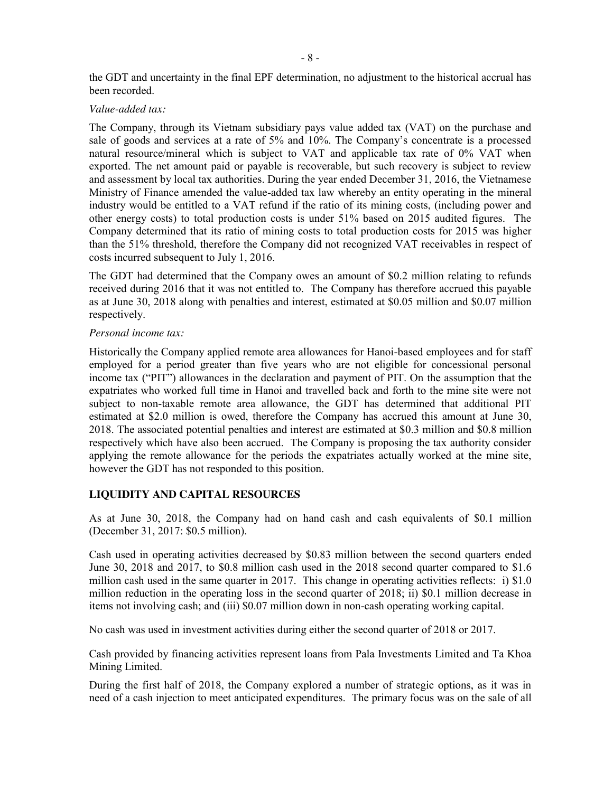the GDT and uncertainty in the final EPF determination, no adjustment to the historical accrual has been recorded.

#### *Value-added tax:*

The Company, through its Vietnam subsidiary pays value added tax (VAT) on the purchase and sale of goods and services at a rate of 5% and 10%. The Company's concentrate is a processed natural resource/mineral which is subject to VAT and applicable tax rate of 0% VAT when exported. The net amount paid or payable is recoverable, but such recovery is subject to review and assessment by local tax authorities. During the year ended December 31, 2016, the Vietnamese Ministry of Finance amended the value-added tax law whereby an entity operating in the mineral industry would be entitled to a VAT refund if the ratio of its mining costs, (including power and other energy costs) to total production costs is under 51% based on 2015 audited figures. The Company determined that its ratio of mining costs to total production costs for 2015 was higher than the 51% threshold, therefore the Company did not recognized VAT receivables in respect of costs incurred subsequent to July 1, 2016.

The GDT had determined that the Company owes an amount of \$0.2 million relating to refunds received during 2016 that it was not entitled to. The Company has therefore accrued this payable as at June 30, 2018 along with penalties and interest, estimated at \$0.05 million and \$0.07 million respectively.

## *Personal income tax:*

Historically the Company applied remote area allowances for Hanoi-based employees and for staff employed for a period greater than five years who are not eligible for concessional personal income tax ("PIT") allowances in the declaration and payment of PIT. On the assumption that the expatriates who worked full time in Hanoi and travelled back and forth to the mine site were not subject to non-taxable remote area allowance, the GDT has determined that additional PIT estimated at \$2.0 million is owed, therefore the Company has accrued this amount at June 30, 2018. The associated potential penalties and interest are estimated at \$0.3 million and \$0.8 million respectively which have also been accrued. The Company is proposing the tax authority consider applying the remote allowance for the periods the expatriates actually worked at the mine site, however the GDT has not responded to this position.

# **LIQUIDITY AND CAPITAL RESOURCES**

As at June 30, 2018, the Company had on hand cash and cash equivalents of \$0.1 million (December 31, 2017: \$0.5 million).

Cash used in operating activities decreased by \$0.83 million between the second quarters ended June 30, 2018 and 2017, to \$0.8 million cash used in the 2018 second quarter compared to \$1.6 million cash used in the same quarter in 2017. This change in operating activities reflects: i) \$1.0 million reduction in the operating loss in the second quarter of 2018; ii) \$0.1 million decrease in items not involving cash; and (iii) \$0.07 million down in non-cash operating working capital.

No cash was used in investment activities during either the second quarter of 2018 or 2017.

Cash provided by financing activities represent loans from Pala Investments Limited and Ta Khoa Mining Limited.

During the first half of 2018, the Company explored a number of strategic options, as it was in need of a cash injection to meet anticipated expenditures. The primary focus was on the sale of all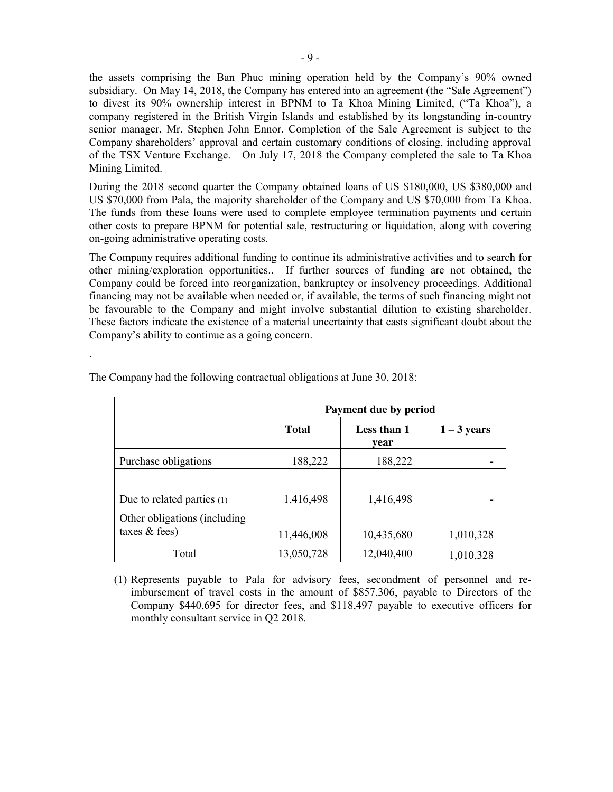the assets comprising the Ban Phuc mining operation held by the Company's 90% owned subsidiary. On May 14, 2018, the Company has entered into an agreement (the "Sale Agreement") to divest its 90% ownership interest in BPNM to Ta Khoa Mining Limited, ("Ta Khoa"), a company registered in the British Virgin Islands and established by its longstanding in-country senior manager, Mr. Stephen John Ennor. Completion of the Sale Agreement is subject to the Company shareholders' approval and certain customary conditions of closing, including approval of the TSX Venture Exchange. On July 17, 2018 the Company completed the sale to Ta Khoa Mining Limited.

During the 2018 second quarter the Company obtained loans of US \$180,000, US \$380,000 and US \$70,000 from Pala, the majority shareholder of the Company and US \$70,000 from Ta Khoa. The funds from these loans were used to complete employee termination payments and certain other costs to prepare BPNM for potential sale, restructuring or liquidation, along with covering on-going administrative operating costs.

The Company requires additional funding to continue its administrative activities and to search for other mining/exploration opportunities.. If further sources of funding are not obtained, the Company could be forced into reorganization, bankruptcy or insolvency proceedings. Additional financing may not be available when needed or, if available, the terms of such financing might not be favourable to the Company and might involve substantial dilution to existing shareholder. These factors indicate the existence of a material uncertainty that casts significant doubt about the Company's ability to continue as a going concern.

|                                                  | Payment due by period |                     |               |
|--------------------------------------------------|-----------------------|---------------------|---------------|
|                                                  | <b>Total</b>          | Less than 1<br>year | $1 - 3$ years |
| Purchase obligations                             | 188,222               | 188,222             |               |
| Due to related parties $(1)$                     | 1,416,498             | 1,416,498           |               |
| Other obligations (including)<br>taxes $&$ fees) | 11,446,008            | 10,435,680          | 1,010,328     |
| Total                                            | 13,050,728            | 12,040,400          | 1,010,328     |

The Company had the following contractual obligations at June 30, 2018:

.

(1) Represents payable to Pala for advisory fees, secondment of personnel and reimbursement of travel costs in the amount of \$857,306, payable to Directors of the Company \$440,695 for director fees, and \$118,497 payable to executive officers for monthly consultant service in Q2 2018.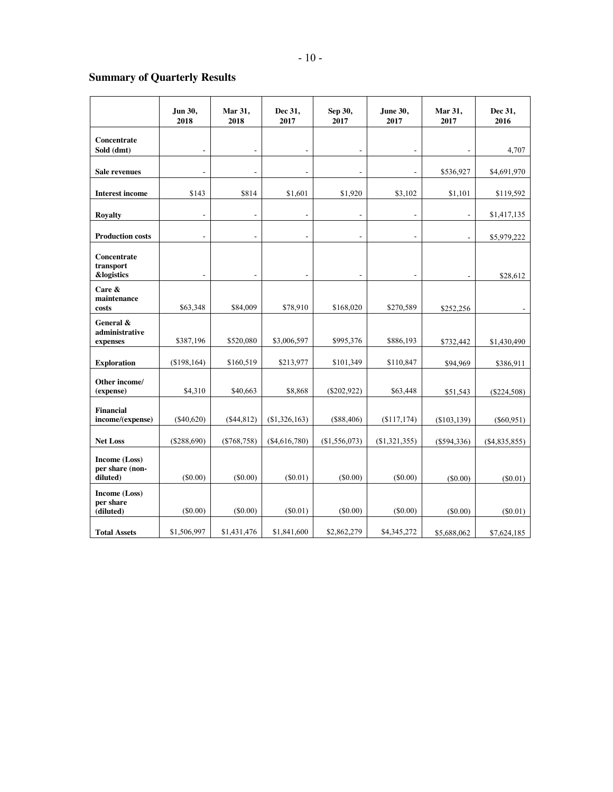# **Summary of Quarterly Results**

|                                              | Jun 30,<br>2018 | Mar 31,<br>2018          | Dec 31,<br>2017              | Sep 30,<br>2017 | June 30,<br>2017         | Mar 31,<br>2017 | Dec 31,<br>2016 |
|----------------------------------------------|-----------------|--------------------------|------------------------------|-----------------|--------------------------|-----------------|-----------------|
| Concentrate<br>Sold (dmt)                    | $\overline{a}$  | $\overline{a}$           | $\overline{a}$               |                 | ÷,                       | $\overline{a}$  | 4,707           |
| Sale revenues                                |                 |                          |                              |                 |                          | \$536,927       | \$4,691,970     |
| <b>Interest income</b>                       | \$143           | \$814                    | \$1,601                      | \$1,920         | \$3,102                  | \$1,101         | \$119,592       |
| <b>Royalty</b>                               | $\overline{a}$  | L,                       | L.                           |                 | $\overline{a}$           | $\overline{a}$  | \$1,417,135     |
| <b>Production costs</b>                      | $\overline{a}$  |                          |                              |                 |                          | ÷,              | \$5,979,222     |
| Concentrate<br>transport<br>&logistics       | $\overline{a}$  | $\overline{\phantom{a}}$ | $\qquad \qquad \blacksquare$ | $\overline{a}$  | $\overline{\phantom{a}}$ | $\overline{a}$  | \$28,612        |
| Care $\&$<br>maintenance<br>costs            | \$63,348        | \$84,009                 | \$78,910                     | \$168,020       | \$270,589                | \$252,256       |                 |
| General &<br>administrative<br>expenses      | \$387,196       | \$520,080                | \$3,006,597                  | \$995,376       | \$886,193                | \$732,442       | \$1,430,490     |
| <b>Exploration</b>                           | (\$198,164)     | \$160,519                | \$213,977                    | \$101,349       | \$110,847                | \$94,969        | \$386,911       |
| Other income/<br>(expense)                   | \$4,310         | \$40,663                 | \$8,868                      | $(\$202,922)$   | \$63,448                 | \$51,543        | $(\$224,508)$   |
| <b>Financial</b><br>income/(expense)         | $(\$40,620)$    | (\$44,812)               | (\$1,326,163)                | (\$88,406)      | (\$117,174)              | (\$103, 139)    | $(\$60,951)$    |
| <b>Net Loss</b>                              | (\$288,690)     | ( \$768, 758)            | (\$4,616,780)                | (\$1,556,073)   | $(\$1,321,355)$          | (\$594,336)     | ( \$4,835,855)  |
| Income (Loss)<br>per share (non-<br>diluted) | (S0.00)         | (S0.00)                  | (S0.01)                      | (S0.00)         | (S0.00)                  | (S0.00)         | (S0.01)         |
| Income (Loss)<br>per share<br>(diluted)      | (S0.00)         | (\$0.00)                 | $(\$0.01)$                   | $(\$0.00)$      | $(\$0.00)$               | $(\$0.00)$      | $(\$0.01)$      |
| <b>Total Assets</b>                          | \$1,506,997     | \$1,431,476              | \$1,841,600                  | \$2,862,279     | \$4,345,272              | \$5,688,062     | \$7,624,185     |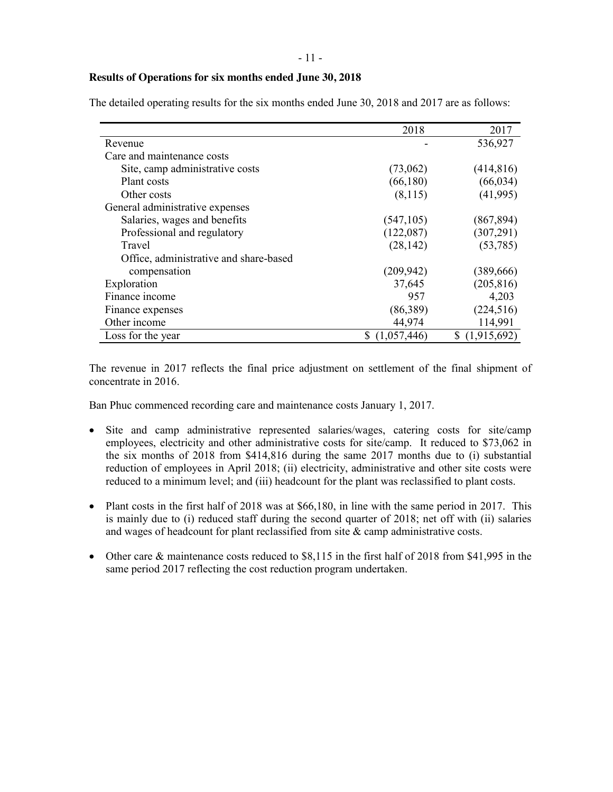#### **Results of Operations for six months ended June 30, 2018**

|                                        | 2018        | 2017        |
|----------------------------------------|-------------|-------------|
| Revenue                                |             | 536,927     |
| Care and maintenance costs             |             |             |
| Site, camp administrative costs        | (73,062)    | (414, 816)  |
| Plant costs                            | (66, 180)   | (66, 034)   |
| Other costs                            | (8,115)     | (41, 995)   |
| General administrative expenses        |             |             |
| Salaries, wages and benefits           | (547, 105)  | (867, 894)  |
| Professional and regulatory            | (122,087)   | (307, 291)  |
| Travel                                 | (28, 142)   | (53, 785)   |
| Office, administrative and share-based |             |             |
| compensation                           | (209, 942)  | (389, 666)  |
| Exploration                            | 37,645      | (205, 816)  |
| Finance income                         | 957         | 4,203       |
| Finance expenses                       | (86,389)    | (224, 516)  |
| Other income                           | 44,974      | 114,991     |
| Loss for the year                      | (1,057,446) | (1,915,692) |

The detailed operating results for the six months ended June 30, 2018 and 2017 are as follows:

The revenue in 2017 reflects the final price adjustment on settlement of the final shipment of concentrate in 2016.

Ban Phuc commenced recording care and maintenance costs January 1, 2017.

- Site and camp administrative represented salaries/wages, catering costs for site/camp employees, electricity and other administrative costs for site/camp. It reduced to \$73,062 in the six months of 2018 from \$414,816 during the same 2017 months due to (i) substantial reduction of employees in April 2018; (ii) electricity, administrative and other site costs were reduced to a minimum level; and (iii) headcount for the plant was reclassified to plant costs.
- Plant costs in the first half of 2018 was at  $$66,180$ , in line with the same period in 2017. This is mainly due to (i) reduced staff during the second quarter of 2018; net off with (ii) salaries and wages of headcount for plant reclassified from site & camp administrative costs.
- Other care & maintenance costs reduced to \$8,115 in the first half of 2018 from \$41,995 in the same period 2017 reflecting the cost reduction program undertaken.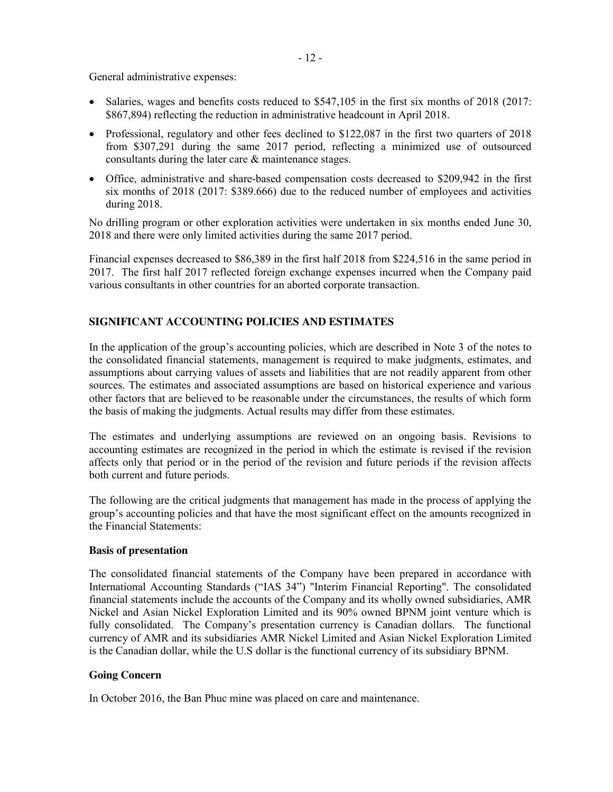General administrative expenses:

- Salaries, wages and benefits costs reduced to \$547,105 in the first six months of 2018 (2017: \$867,894) reflecting the reduction in administrative headcount in April 2018.
- Professional, regulatory and other fees declined to \$122,087 in the first two quarters of 2018 from \$307,291 during the same 2017 period, reflecting a minimized use of outsourced consultants during the later care & maintenance stages.
- Office, administrative and share-based compensation costs decreased to \$209,942 in the first six months of 2018 (2017: \$389.666) due to the reduced number of employees and activities during 2018.

No drilling program or other exploration activities were undertaken in six months ended June 30, 2018 and there were only limited activities during the same 2017 period.

Financial expenses decreased to \$86,389 in the first half 2018 from \$224,516 in the same period in 2017. The first half 2017 reflected foreign exchange expenses incurred when the Company paid various consultants in other countries for an aborted corporate transaction.

# **SIGNIFICANT ACCOUNTING POLICIES AND ESTIMATES**

In the application of the group's accounting policies, which are described in Note 3 of the notes to the consolidated financial statements, management is required to make judgments, estimates, and assumptions about carrying values of assets and liabilities that are not readily apparent from other sources. The estimates and associated assumptions are based on historical experience and various other factors that are believed to be reasonable under the circumstances, the results of which form the basis of making the judgments. Actual results may differ from these estimates.

The estimates and underlying assumptions are reviewed on an ongoing basis. Revisions to accounting estimates are recognized in the period in which the estimate is revised if the revision affects only that period or in the period of the revision and future periods if the revision affects both current and future periods.

The following are the critical judgments that management has made in the process of applying the group's accounting policies and that have the most significant effect on the amounts recognized in the Financial Statements:

## **Basis of presentation**

The consolidated financial statements of the Company have been prepared in accordance with International Accounting Standards ("IAS 34") "Interim Financial Reporting". The consolidated financial statements include the accounts of the Company and its wholly owned subsidiaries, AMR Nickel and Asian Nickel Exploration Limited and its 90% owned BPNM joint venture which is fully consolidated. The Company's presentation currency is Canadian dollars. The functional currency of AMR and its subsidiaries AMR Nickel Limited and Asian Nickel Exploration Limited is the Canadian dollar, while the U.S dollar is the functional currency of its subsidiary BPNM.

## **Going Concern**

In October 2016, the Ban Phuc mine was placed on care and maintenance.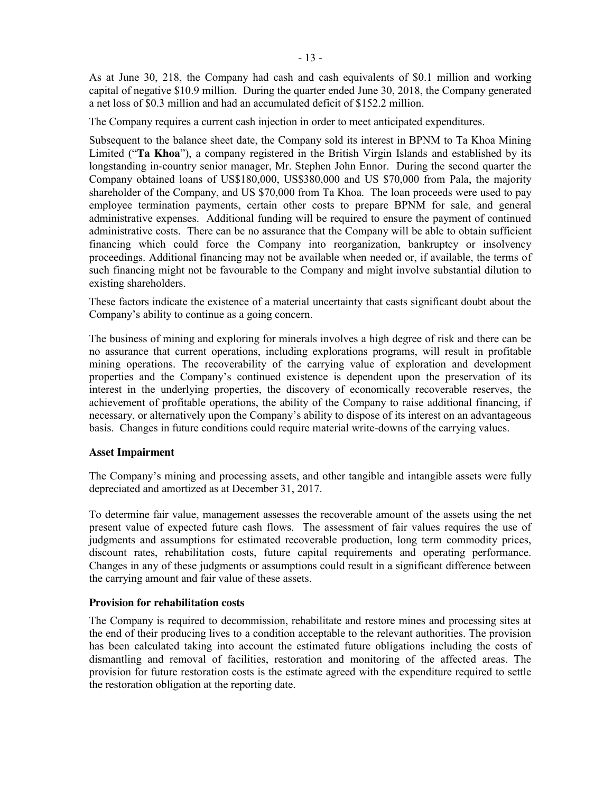As at June 30, 218, the Company had cash and cash equivalents of \$0.1 million and working capital of negative \$10.9 million. During the quarter ended June 30, 2018, the Company generated a net loss of \$0.3 million and had an accumulated deficit of \$152.2 million.

The Company requires a current cash injection in order to meet anticipated expenditures.

Subsequent to the balance sheet date, the Company sold its interest in BPNM to Ta Khoa Mining Limited ("**Ta Khoa**"), a company registered in the British Virgin Islands and established by its longstanding in-country senior manager, Mr. Stephen John Ennor. During the second quarter the Company obtained loans of US\$180,000, US\$380,000 and US \$70,000 from Pala, the majority shareholder of the Company, and US \$70,000 from Ta Khoa. The loan proceeds were used to pay employee termination payments, certain other costs to prepare BPNM for sale, and general administrative expenses. Additional funding will be required to ensure the payment of continued administrative costs. There can be no assurance that the Company will be able to obtain sufficient financing which could force the Company into reorganization, bankruptcy or insolvency proceedings. Additional financing may not be available when needed or, if available, the terms of such financing might not be favourable to the Company and might involve substantial dilution to existing shareholders.

These factors indicate the existence of a material uncertainty that casts significant doubt about the Company's ability to continue as a going concern.

The business of mining and exploring for minerals involves a high degree of risk and there can be no assurance that current operations, including explorations programs, will result in profitable mining operations. The recoverability of the carrying value of exploration and development properties and the Company's continued existence is dependent upon the preservation of its interest in the underlying properties, the discovery of economically recoverable reserves, the achievement of profitable operations, the ability of the Company to raise additional financing, if necessary, or alternatively upon the Company's ability to dispose of its interest on an advantageous basis. Changes in future conditions could require material write-downs of the carrying values.

#### **Asset Impairment**

The Company's mining and processing assets, and other tangible and intangible assets were fully depreciated and amortized as at December 31, 2017.

To determine fair value, management assesses the recoverable amount of the assets using the net present value of expected future cash flows. The assessment of fair values requires the use of judgments and assumptions for estimated recoverable production, long term commodity prices, discount rates, rehabilitation costs, future capital requirements and operating performance. Changes in any of these judgments or assumptions could result in a significant difference between the carrying amount and fair value of these assets.

## **Provision for rehabilitation costs**

The Company is required to decommission, rehabilitate and restore mines and processing sites at the end of their producing lives to a condition acceptable to the relevant authorities. The provision has been calculated taking into account the estimated future obligations including the costs of dismantling and removal of facilities, restoration and monitoring of the affected areas. The provision for future restoration costs is the estimate agreed with the expenditure required to settle the restoration obligation at the reporting date.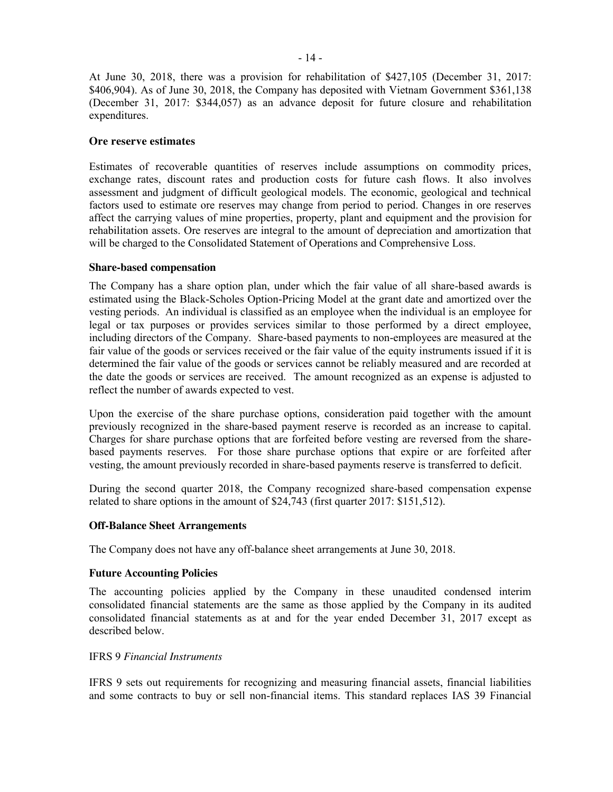At June 30, 2018, there was a provision for rehabilitation of \$427,105 (December 31, 2017: \$406,904). As of June 30, 2018, the Company has deposited with Vietnam Government \$361,138 (December 31, 2017: \$344,057) as an advance deposit for future closure and rehabilitation expenditures.

#### **Ore reserve estimates**

Estimates of recoverable quantities of reserves include assumptions on commodity prices, exchange rates, discount rates and production costs for future cash flows. It also involves assessment and judgment of difficult geological models. The economic, geological and technical factors used to estimate ore reserves may change from period to period. Changes in ore reserves affect the carrying values of mine properties, property, plant and equipment and the provision for rehabilitation assets. Ore reserves are integral to the amount of depreciation and amortization that will be charged to the Consolidated Statement of Operations and Comprehensive Loss.

#### **Share-based compensation**

The Company has a share option plan, under which the fair value of all share-based awards is estimated using the Black-Scholes Option-Pricing Model at the grant date and amortized over the vesting periods. An individual is classified as an employee when the individual is an employee for legal or tax purposes or provides services similar to those performed by a direct employee, including directors of the Company. Share-based payments to non-employees are measured at the fair value of the goods or services received or the fair value of the equity instruments issued if it is determined the fair value of the goods or services cannot be reliably measured and are recorded at the date the goods or services are received. The amount recognized as an expense is adjusted to reflect the number of awards expected to vest.

Upon the exercise of the share purchase options, consideration paid together with the amount previously recognized in the share-based payment reserve is recorded as an increase to capital. Charges for share purchase options that are forfeited before vesting are reversed from the sharebased payments reserves. For those share purchase options that expire or are forfeited after vesting, the amount previously recorded in share-based payments reserve is transferred to deficit.

During the second quarter 2018, the Company recognized share-based compensation expense related to share options in the amount of \$24,743 (first quarter 2017: \$151,512).

## **Off-Balance Sheet Arrangements**

The Company does not have any off-balance sheet arrangements at June 30, 2018.

#### **Future Accounting Policies**

The accounting policies applied by the Company in these unaudited condensed interim consolidated financial statements are the same as those applied by the Company in its audited consolidated financial statements as at and for the year ended December 31, 2017 except as described below.

#### IFRS 9 *Financial Instruments*

IFRS 9 sets out requirements for recognizing and measuring financial assets, financial liabilities and some contracts to buy or sell non-financial items. This standard replaces IAS 39 Financial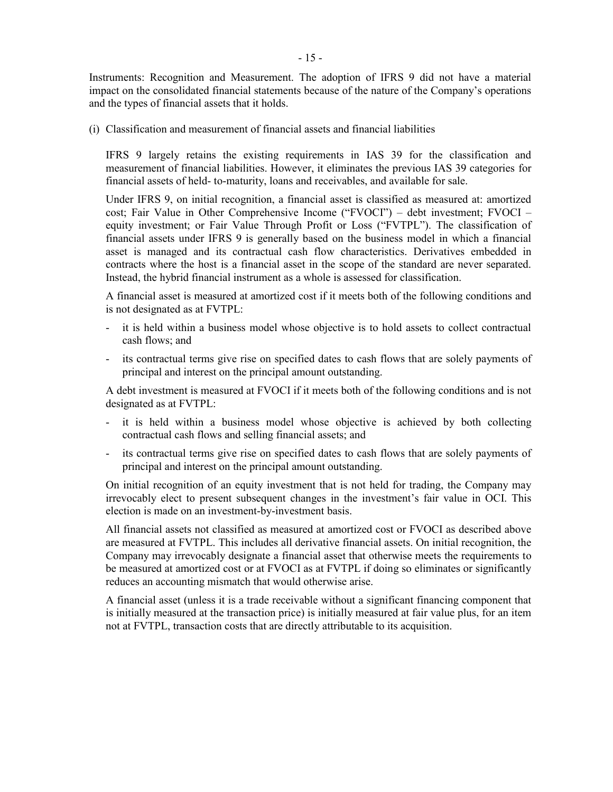Instruments: Recognition and Measurement. The adoption of IFRS 9 did not have a material impact on the consolidated financial statements because of the nature of the Company's operations and the types of financial assets that it holds.

(i) Classification and measurement of financial assets and financial liabilities

IFRS 9 largely retains the existing requirements in IAS 39 for the classification and measurement of financial liabilities. However, it eliminates the previous IAS 39 categories for financial assets of held- to-maturity, loans and receivables, and available for sale.

Under IFRS 9, on initial recognition, a financial asset is classified as measured at: amortized cost; Fair Value in Other Comprehensive Income ("FVOCI") – debt investment; FVOCI – equity investment; or Fair Value Through Profit or Loss ("FVTPL"). The classification of financial assets under IFRS 9 is generally based on the business model in which a financial asset is managed and its contractual cash flow characteristics. Derivatives embedded in contracts where the host is a financial asset in the scope of the standard are never separated. Instead, the hybrid financial instrument as a whole is assessed for classification.

A financial asset is measured at amortized cost if it meets both of the following conditions and is not designated as at FVTPL:

- it is held within a business model whose objective is to hold assets to collect contractual cash flows; and
- its contractual terms give rise on specified dates to cash flows that are solely payments of principal and interest on the principal amount outstanding.

A debt investment is measured at FVOCI if it meets both of the following conditions and is not designated as at FVTPL:

- it is held within a business model whose objective is achieved by both collecting contractual cash flows and selling financial assets; and
- its contractual terms give rise on specified dates to cash flows that are solely payments of principal and interest on the principal amount outstanding.

On initial recognition of an equity investment that is not held for trading, the Company may irrevocably elect to present subsequent changes in the investment's fair value in OCI. This election is made on an investment-by-investment basis.

All financial assets not classified as measured at amortized cost or FVOCI as described above are measured at FVTPL. This includes all derivative financial assets. On initial recognition, the Company may irrevocably designate a financial asset that otherwise meets the requirements to be measured at amortized cost or at FVOCI as at FVTPL if doing so eliminates or significantly reduces an accounting mismatch that would otherwise arise.

A financial asset (unless it is a trade receivable without a significant financing component that is initially measured at the transaction price) is initially measured at fair value plus, for an item not at FVTPL, transaction costs that are directly attributable to its acquisition.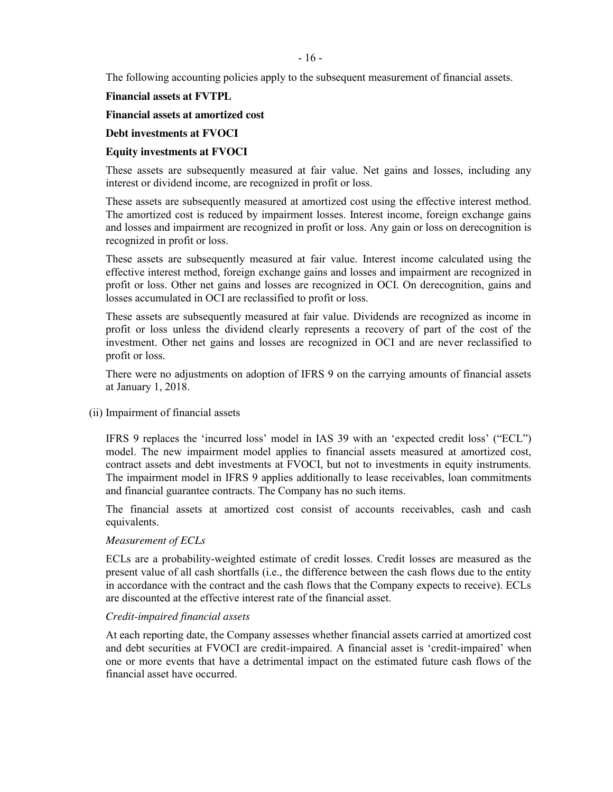The following accounting policies apply to the subsequent measurement of financial assets.

**Financial assets at FVTPL** 

#### **Financial assets at amortized cost**

#### **Debt investments at FVOCI**

## **Equity investments at FVOCI**

These assets are subsequently measured at fair value. Net gains and losses, including any interest or dividend income, are recognized in profit or loss.

These assets are subsequently measured at amortized cost using the effective interest method. The amortized cost is reduced by impairment losses. Interest income, foreign exchange gains and losses and impairment are recognized in profit or loss. Any gain or loss on derecognition is recognized in profit or loss.

These assets are subsequently measured at fair value. Interest income calculated using the effective interest method, foreign exchange gains and losses and impairment are recognized in profit or loss. Other net gains and losses are recognized in OCI. On derecognition, gains and losses accumulated in OCI are reclassified to profit or loss.

These assets are subsequently measured at fair value. Dividends are recognized as income in profit or loss unless the dividend clearly represents a recovery of part of the cost of the investment. Other net gains and losses are recognized in OCI and are never reclassified to profit or loss.

There were no adjustments on adoption of IFRS 9 on the carrying amounts of financial assets at January 1, 2018.

(ii) Impairment of financial assets

IFRS 9 replaces the 'incurred loss' model in IAS 39 with an 'expected credit loss' ("ECL") model. The new impairment model applies to financial assets measured at amortized cost, contract assets and debt investments at FVOCI, but not to investments in equity instruments. The impairment model in IFRS 9 applies additionally to lease receivables, loan commitments and financial guarantee contracts. The Company has no such items.

The financial assets at amortized cost consist of accounts receivables, cash and cash equivalents.

## *Measurement of ECLs*

ECLs are a probability-weighted estimate of credit losses. Credit losses are measured as the present value of all cash shortfalls (i.e., the difference between the cash flows due to the entity in accordance with the contract and the cash flows that the Company expects to receive). ECLs are discounted at the effective interest rate of the financial asset.

#### *Credit-impaired financial assets*

At each reporting date, the Company assesses whether financial assets carried at amortized cost and debt securities at FVOCI are credit-impaired. A financial asset is 'credit-impaired' when one or more events that have a detrimental impact on the estimated future cash flows of the financial asset have occurred.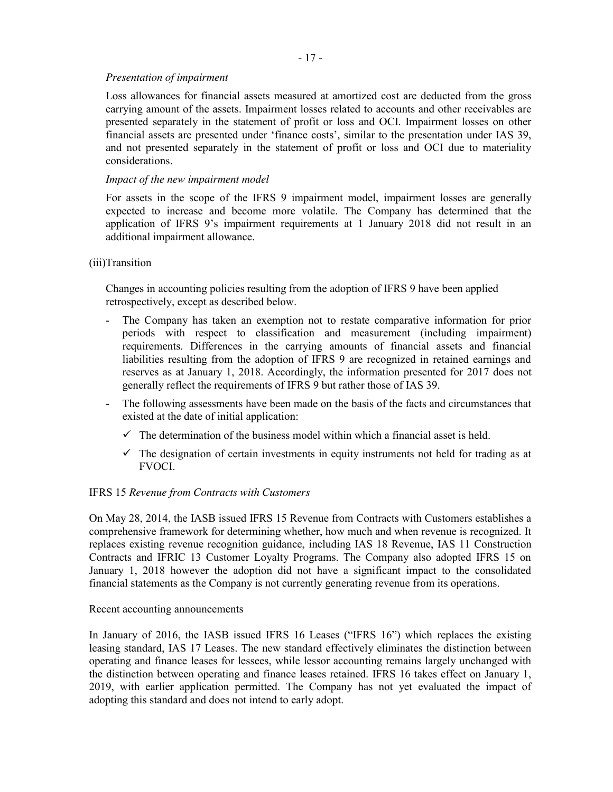# *Presentation of impairment*

Loss allowances for financial assets measured at amortized cost are deducted from the gross carrying amount of the assets. Impairment losses related to accounts and other receivables are presented separately in the statement of profit or loss and OCI. Impairment losses on other financial assets are presented under 'finance costs', similar to the presentation under IAS 39, and not presented separately in the statement of profit or loss and OCI due to materiality considerations.

# *Impact of the new impairment model*

For assets in the scope of the IFRS 9 impairment model, impairment losses are generally expected to increase and become more volatile. The Company has determined that the application of IFRS 9's impairment requirements at 1 January 2018 did not result in an additional impairment allowance.

# (iii)Transition

Changes in accounting policies resulting from the adoption of IFRS 9 have been applied retrospectively, except as described below.

- The Company has taken an exemption not to restate comparative information for prior periods with respect to classification and measurement (including impairment) requirements. Differences in the carrying amounts of financial assets and financial liabilities resulting from the adoption of IFRS 9 are recognized in retained earnings and reserves as at January 1, 2018. Accordingly, the information presented for 2017 does not generally reflect the requirements of IFRS 9 but rather those of IAS 39.
- The following assessments have been made on the basis of the facts and circumstances that existed at the date of initial application:
	- $\checkmark$  The determination of the business model within which a financial asset is held.
	- $\checkmark$  The designation of certain investments in equity instruments not held for trading as at FVOCI.

## IFRS 15 *Revenue from Contracts with Customers*

On May 28, 2014, the IASB issued IFRS 15 Revenue from Contracts with Customers establishes a comprehensive framework for determining whether, how much and when revenue is recognized. It replaces existing revenue recognition guidance, including IAS 18 Revenue, IAS 11 Construction Contracts and IFRIC 13 Customer Loyalty Programs. The Company also adopted IFRS 15 on January 1, 2018 however the adoption did not have a significant impact to the consolidated financial statements as the Company is not currently generating revenue from its operations.

## Recent accounting announcements

In January of 2016, the IASB issued IFRS 16 Leases ("IFRS 16") which replaces the existing leasing standard, IAS 17 Leases. The new standard effectively eliminates the distinction between operating and finance leases for lessees, while lessor accounting remains largely unchanged with the distinction between operating and finance leases retained. IFRS 16 takes effect on January 1, 2019, with earlier application permitted. The Company has not yet evaluated the impact of adopting this standard and does not intend to early adopt.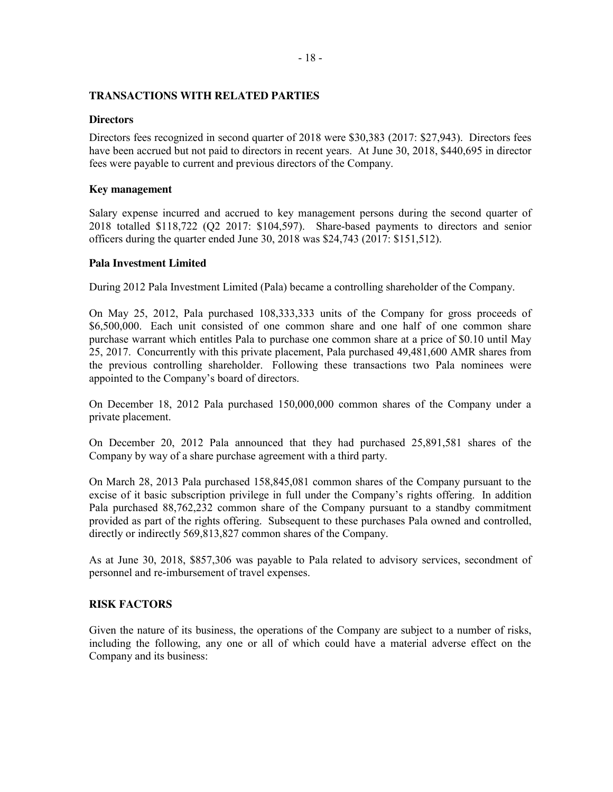#### **TRANSACTIONS WITH RELATED PARTIES**

#### **Directors**

Directors fees recognized in second quarter of 2018 were \$30,383 (2017: \$27,943). Directors fees have been accrued but not paid to directors in recent years. At June 30, 2018, \$440,695 in director fees were payable to current and previous directors of the Company.

#### **Key management**

Salary expense incurred and accrued to key management persons during the second quarter of 2018 totalled \$118,722 (Q2 2017: \$104,597). Share-based payments to directors and senior officers during the quarter ended June 30, 2018 was \$24,743 (2017: \$151,512).

## **Pala Investment Limited**

During 2012 Pala Investment Limited (Pala) became a controlling shareholder of the Company.

On May 25, 2012, Pala purchased 108,333,333 units of the Company for gross proceeds of \$6,500,000. Each unit consisted of one common share and one half of one common share purchase warrant which entitles Pala to purchase one common share at a price of \$0.10 until May 25, 2017. Concurrently with this private placement, Pala purchased 49,481,600 AMR shares from the previous controlling shareholder. Following these transactions two Pala nominees were appointed to the Company's board of directors.

On December 18, 2012 Pala purchased 150,000,000 common shares of the Company under a private placement.

On December 20, 2012 Pala announced that they had purchased 25,891,581 shares of the Company by way of a share purchase agreement with a third party.

On March 28, 2013 Pala purchased 158,845,081 common shares of the Company pursuant to the excise of it basic subscription privilege in full under the Company's rights offering. In addition Pala purchased 88,762,232 common share of the Company pursuant to a standby commitment provided as part of the rights offering. Subsequent to these purchases Pala owned and controlled, directly or indirectly 569,813,827 common shares of the Company.

As at June 30, 2018, \$857,306 was payable to Pala related to advisory services, secondment of personnel and re-imbursement of travel expenses.

## **RISK FACTORS**

Given the nature of its business, the operations of the Company are subject to a number of risks, including the following, any one or all of which could have a material adverse effect on the Company and its business: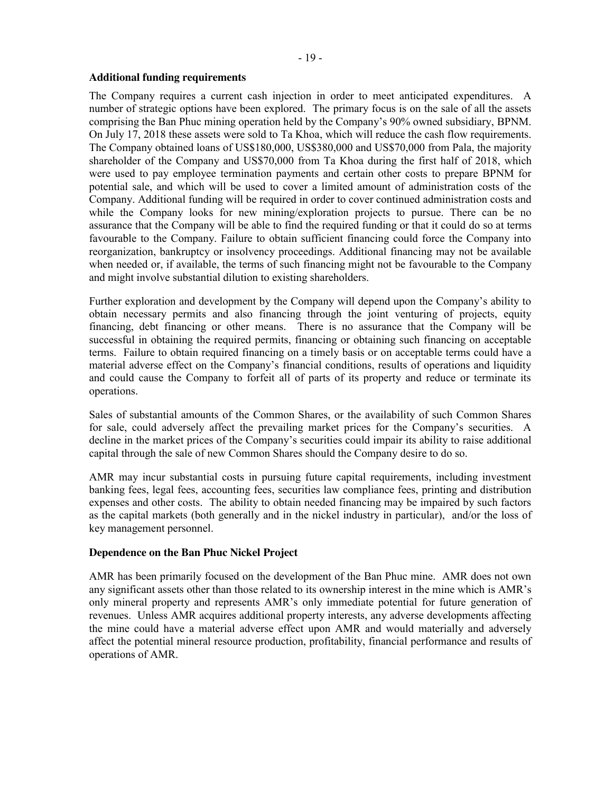#### **Additional funding requirements**

The Company requires a current cash injection in order to meet anticipated expenditures. A number of strategic options have been explored. The primary focus is on the sale of all the assets comprising the Ban Phuc mining operation held by the Company's 90% owned subsidiary, BPNM. On July 17, 2018 these assets were sold to Ta Khoa, which will reduce the cash flow requirements. The Company obtained loans of US\$180,000, US\$380,000 and US\$70,000 from Pala, the majority shareholder of the Company and US\$70,000 from Ta Khoa during the first half of 2018, which were used to pay employee termination payments and certain other costs to prepare BPNM for potential sale, and which will be used to cover a limited amount of administration costs of the Company. Additional funding will be required in order to cover continued administration costs and while the Company looks for new mining/exploration projects to pursue. There can be no assurance that the Company will be able to find the required funding or that it could do so at terms favourable to the Company. Failure to obtain sufficient financing could force the Company into reorganization, bankruptcy or insolvency proceedings. Additional financing may not be available when needed or, if available, the terms of such financing might not be favourable to the Company and might involve substantial dilution to existing shareholders.

Further exploration and development by the Company will depend upon the Company's ability to obtain necessary permits and also financing through the joint venturing of projects, equity financing, debt financing or other means. There is no assurance that the Company will be successful in obtaining the required permits, financing or obtaining such financing on acceptable terms. Failure to obtain required financing on a timely basis or on acceptable terms could have a material adverse effect on the Company's financial conditions, results of operations and liquidity and could cause the Company to forfeit all of parts of its property and reduce or terminate its operations.

Sales of substantial amounts of the Common Shares, or the availability of such Common Shares for sale, could adversely affect the prevailing market prices for the Company's securities. A decline in the market prices of the Company's securities could impair its ability to raise additional capital through the sale of new Common Shares should the Company desire to do so.

AMR may incur substantial costs in pursuing future capital requirements, including investment banking fees, legal fees, accounting fees, securities law compliance fees, printing and distribution expenses and other costs. The ability to obtain needed financing may be impaired by such factors as the capital markets (both generally and in the nickel industry in particular), and/or the loss of key management personnel.

# **Dependence on the Ban Phuc Nickel Project**

AMR has been primarily focused on the development of the Ban Phuc mine. AMR does not own any significant assets other than those related to its ownership interest in the mine which is AMR's only mineral property and represents AMR's only immediate potential for future generation of revenues. Unless AMR acquires additional property interests, any adverse developments affecting the mine could have a material adverse effect upon AMR and would materially and adversely affect the potential mineral resource production, profitability, financial performance and results of operations of AMR.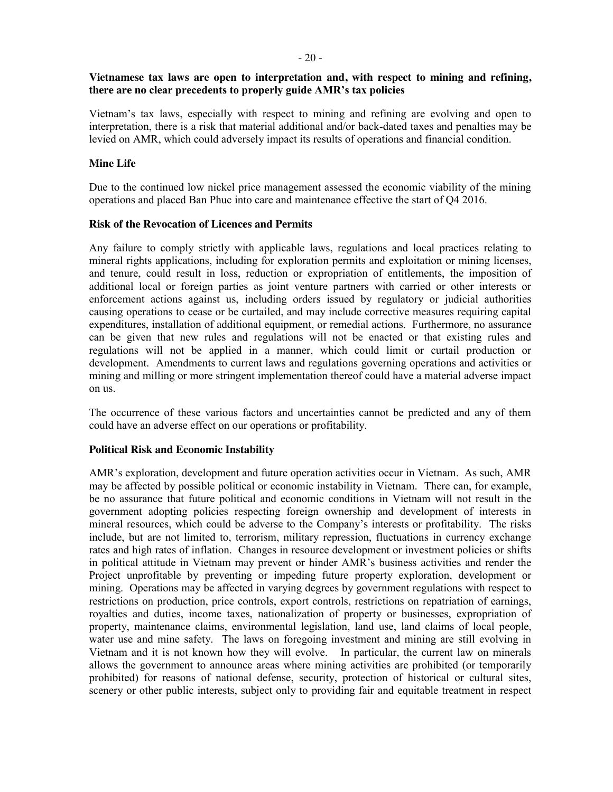## **Vietnamese tax laws are open to interpretation and, with respect to mining and refining, there are no clear precedents to properly guide AMR's tax policies**

Vietnam's tax laws, especially with respect to mining and refining are evolving and open to interpretation, there is a risk that material additional and/or back-dated taxes and penalties may be levied on AMR, which could adversely impact its results of operations and financial condition.

#### **Mine Life**

Due to the continued low nickel price management assessed the economic viability of the mining operations and placed Ban Phuc into care and maintenance effective the start of Q4 2016.

#### **Risk of the Revocation of Licences and Permits**

Any failure to comply strictly with applicable laws, regulations and local practices relating to mineral rights applications, including for exploration permits and exploitation or mining licenses, and tenure, could result in loss, reduction or expropriation of entitlements, the imposition of additional local or foreign parties as joint venture partners with carried or other interests or enforcement actions against us, including orders issued by regulatory or judicial authorities causing operations to cease or be curtailed, and may include corrective measures requiring capital expenditures, installation of additional equipment, or remedial actions. Furthermore, no assurance can be given that new rules and regulations will not be enacted or that existing rules and regulations will not be applied in a manner, which could limit or curtail production or development. Amendments to current laws and regulations governing operations and activities or mining and milling or more stringent implementation thereof could have a material adverse impact on us.

The occurrence of these various factors and uncertainties cannot be predicted and any of them could have an adverse effect on our operations or profitability.

#### **Political Risk and Economic Instability**

AMR's exploration, development and future operation activities occur in Vietnam. As such, AMR may be affected by possible political or economic instability in Vietnam. There can, for example, be no assurance that future political and economic conditions in Vietnam will not result in the government adopting policies respecting foreign ownership and development of interests in mineral resources, which could be adverse to the Company's interests or profitability. The risks include, but are not limited to, terrorism, military repression, fluctuations in currency exchange rates and high rates of inflation. Changes in resource development or investment policies or shifts in political attitude in Vietnam may prevent or hinder AMR's business activities and render the Project unprofitable by preventing or impeding future property exploration, development or mining. Operations may be affected in varying degrees by government regulations with respect to restrictions on production, price controls, export controls, restrictions on repatriation of earnings, royalties and duties, income taxes, nationalization of property or businesses, expropriation of property, maintenance claims, environmental legislation, land use, land claims of local people, water use and mine safety. The laws on foregoing investment and mining are still evolving in Vietnam and it is not known how they will evolve. In particular, the current law on minerals allows the government to announce areas where mining activities are prohibited (or temporarily prohibited) for reasons of national defense, security, protection of historical or cultural sites, scenery or other public interests, subject only to providing fair and equitable treatment in respect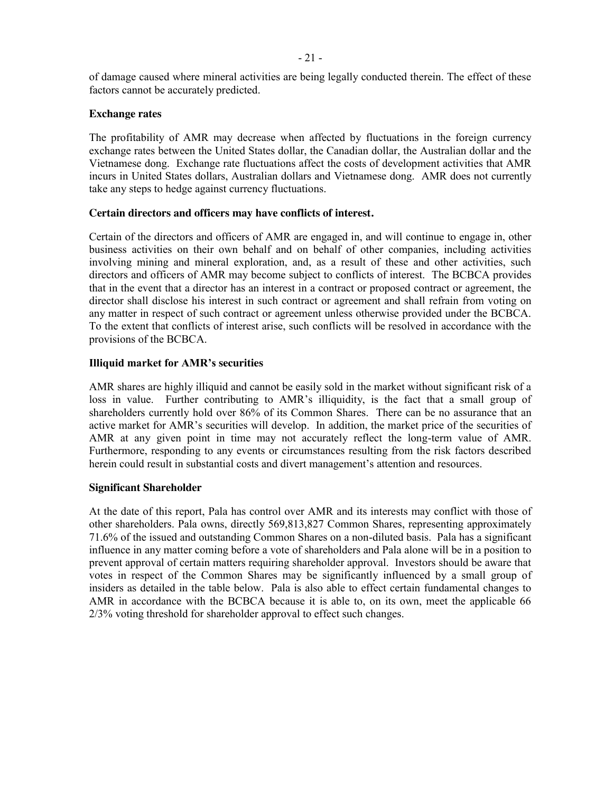of damage caused where mineral activities are being legally conducted therein. The effect of these factors cannot be accurately predicted.

## **Exchange rates**

The profitability of AMR may decrease when affected by fluctuations in the foreign currency exchange rates between the United States dollar, the Canadian dollar, the Australian dollar and the Vietnamese dong. Exchange rate fluctuations affect the costs of development activities that AMR incurs in United States dollars, Australian dollars and Vietnamese dong. AMR does not currently take any steps to hedge against currency fluctuations.

## **Certain directors and officers may have conflicts of interest.**

Certain of the directors and officers of AMR are engaged in, and will continue to engage in, other business activities on their own behalf and on behalf of other companies, including activities involving mining and mineral exploration, and, as a result of these and other activities, such directors and officers of AMR may become subject to conflicts of interest. The BCBCA provides that in the event that a director has an interest in a contract or proposed contract or agreement, the director shall disclose his interest in such contract or agreement and shall refrain from voting on any matter in respect of such contract or agreement unless otherwise provided under the BCBCA. To the extent that conflicts of interest arise, such conflicts will be resolved in accordance with the provisions of the BCBCA.

# **Illiquid market for AMR's securities**

AMR shares are highly illiquid and cannot be easily sold in the market without significant risk of a loss in value. Further contributing to AMR's illiquidity, is the fact that a small group of shareholders currently hold over 86% of its Common Shares. There can be no assurance that an active market for AMR's securities will develop. In addition, the market price of the securities of AMR at any given point in time may not accurately reflect the long-term value of AMR. Furthermore, responding to any events or circumstances resulting from the risk factors described herein could result in substantial costs and divert management's attention and resources.

## **Significant Shareholder**

At the date of this report, Pala has control over AMR and its interests may conflict with those of other shareholders. Pala owns, directly 569,813,827 Common Shares, representing approximately 71.6% of the issued and outstanding Common Shares on a non-diluted basis. Pala has a significant influence in any matter coming before a vote of shareholders and Pala alone will be in a position to prevent approval of certain matters requiring shareholder approval. Investors should be aware that votes in respect of the Common Shares may be significantly influenced by a small group of insiders as detailed in the table below. Pala is also able to effect certain fundamental changes to AMR in accordance with the BCBCA because it is able to, on its own, meet the applicable 66 2/3% voting threshold for shareholder approval to effect such changes.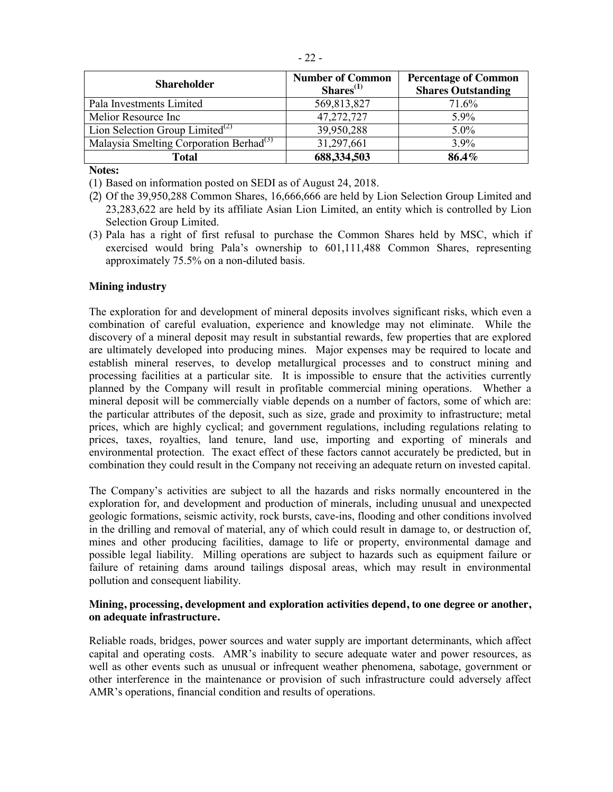| <b>Shareholder</b>                                  | <b>Number of Common</b><br>$Shares^{(1)}$ | <b>Percentage of Common</b><br><b>Shares Outstanding</b> |
|-----------------------------------------------------|-------------------------------------------|----------------------------------------------------------|
| Pala Investments Limited                            | 569,813,827                               | 71.6%                                                    |
| Melior Resource Inc                                 | 47,272,727                                | 5.9%                                                     |
| Lion Selection Group Limited <sup>(2)</sup>         | 39,950,288                                | 5.0%                                                     |
| Malaysia Smelting Corporation Berhad <sup>(3)</sup> | 31,297,661                                | 3.9%                                                     |
| <b>Total</b>                                        | 688,334,503                               | 86.4%                                                    |

**Notes:**

(1) Based on information posted on SEDI as of August 24, 2018.

- (2) Of the 39,950,288 Common Shares, 16,666,666 are held by Lion Selection Group Limited and 23,283,622 are held by its affiliate Asian Lion Limited, an entity which is controlled by Lion Selection Group Limited.
- (3) Pala has a right of first refusal to purchase the Common Shares held by MSC, which if exercised would bring Pala's ownership to 601,111,488 Common Shares, representing approximately 75.5% on a non-diluted basis.

## **Mining industry**

The exploration for and development of mineral deposits involves significant risks, which even a combination of careful evaluation, experience and knowledge may not eliminate. While the discovery of a mineral deposit may result in substantial rewards, few properties that are explored are ultimately developed into producing mines. Major expenses may be required to locate and establish mineral reserves, to develop metallurgical processes and to construct mining and processing facilities at a particular site. It is impossible to ensure that the activities currently planned by the Company will result in profitable commercial mining operations. Whether a mineral deposit will be commercially viable depends on a number of factors, some of which are: the particular attributes of the deposit, such as size, grade and proximity to infrastructure; metal prices, which are highly cyclical; and government regulations, including regulations relating to prices, taxes, royalties, land tenure, land use, importing and exporting of minerals and environmental protection. The exact effect of these factors cannot accurately be predicted, but in combination they could result in the Company not receiving an adequate return on invested capital.

The Company's activities are subject to all the hazards and risks normally encountered in the exploration for, and development and production of minerals, including unusual and unexpected geologic formations, seismic activity, rock bursts, cave-ins, flooding and other conditions involved in the drilling and removal of material, any of which could result in damage to, or destruction of, mines and other producing facilities, damage to life or property, environmental damage and possible legal liability. Milling operations are subject to hazards such as equipment failure or failure of retaining dams around tailings disposal areas, which may result in environmental pollution and consequent liability.

#### **Mining, processing, development and exploration activities depend, to one degree or another, on adequate infrastructure.**

Reliable roads, bridges, power sources and water supply are important determinants, which affect capital and operating costs. AMR's inability to secure adequate water and power resources, as well as other events such as unusual or infrequent weather phenomena, sabotage, government or other interference in the maintenance or provision of such infrastructure could adversely affect AMR's operations, financial condition and results of operations.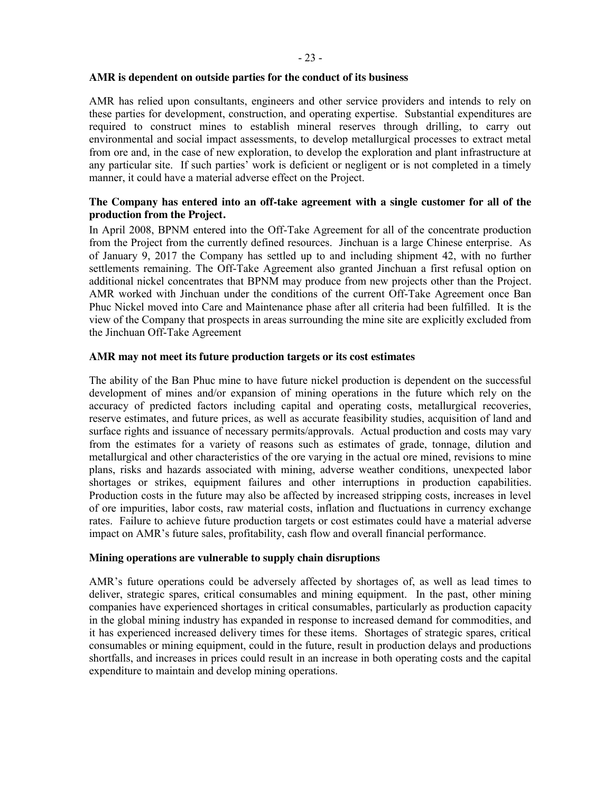#### **AMR is dependent on outside parties for the conduct of its business**

AMR has relied upon consultants, engineers and other service providers and intends to rely on these parties for development, construction, and operating expertise. Substantial expenditures are required to construct mines to establish mineral reserves through drilling, to carry out environmental and social impact assessments, to develop metallurgical processes to extract metal from ore and, in the case of new exploration, to develop the exploration and plant infrastructure at any particular site. If such parties' work is deficient or negligent or is not completed in a timely manner, it could have a material adverse effect on the Project.

# **The Company has entered into an off-take agreement with a single customer for all of the production from the Project.**

In April 2008, BPNM entered into the Off-Take Agreement for all of the concentrate production from the Project from the currently defined resources. Jinchuan is a large Chinese enterprise. As of January 9, 2017 the Company has settled up to and including shipment 42, with no further settlements remaining. The Off-Take Agreement also granted Jinchuan a first refusal option on additional nickel concentrates that BPNM may produce from new projects other than the Project. AMR worked with Jinchuan under the conditions of the current Off-Take Agreement once Ban Phuc Nickel moved into Care and Maintenance phase after all criteria had been fulfilled. It is the view of the Company that prospects in areas surrounding the mine site are explicitly excluded from the Jinchuan Off-Take Agreement

#### **AMR may not meet its future production targets or its cost estimates**

The ability of the Ban Phuc mine to have future nickel production is dependent on the successful development of mines and/or expansion of mining operations in the future which rely on the accuracy of predicted factors including capital and operating costs, metallurgical recoveries, reserve estimates, and future prices, as well as accurate feasibility studies, acquisition of land and surface rights and issuance of necessary permits/approvals. Actual production and costs may vary from the estimates for a variety of reasons such as estimates of grade, tonnage, dilution and metallurgical and other characteristics of the ore varying in the actual ore mined, revisions to mine plans, risks and hazards associated with mining, adverse weather conditions, unexpected labor shortages or strikes, equipment failures and other interruptions in production capabilities. Production costs in the future may also be affected by increased stripping costs, increases in level of ore impurities, labor costs, raw material costs, inflation and fluctuations in currency exchange rates. Failure to achieve future production targets or cost estimates could have a material adverse impact on AMR's future sales, profitability, cash flow and overall financial performance.

## **Mining operations are vulnerable to supply chain disruptions**

AMR's future operations could be adversely affected by shortages of, as well as lead times to deliver, strategic spares, critical consumables and mining equipment. In the past, other mining companies have experienced shortages in critical consumables, particularly as production capacity in the global mining industry has expanded in response to increased demand for commodities, and it has experienced increased delivery times for these items. Shortages of strategic spares, critical consumables or mining equipment, could in the future, result in production delays and productions shortfalls, and increases in prices could result in an increase in both operating costs and the capital expenditure to maintain and develop mining operations.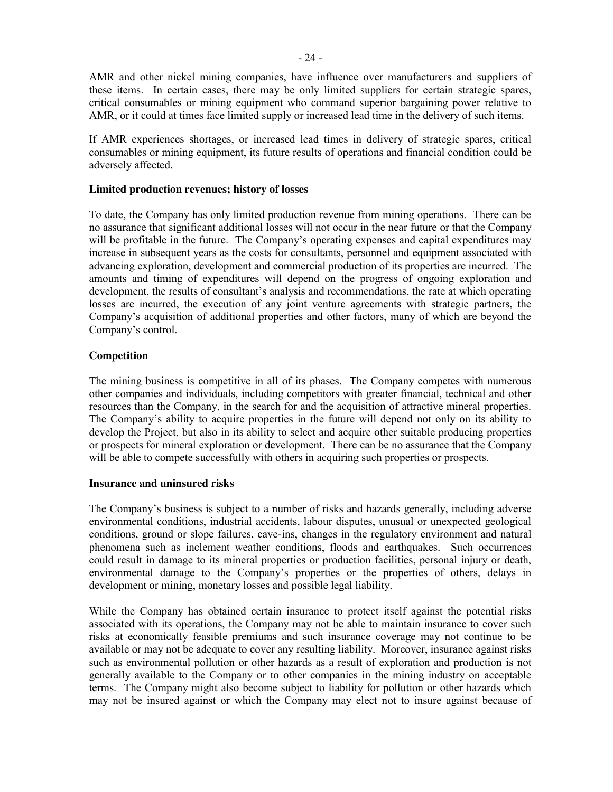AMR and other nickel mining companies, have influence over manufacturers and suppliers of these items. In certain cases, there may be only limited suppliers for certain strategic spares, critical consumables or mining equipment who command superior bargaining power relative to AMR, or it could at times face limited supply or increased lead time in the delivery of such items.

If AMR experiences shortages, or increased lead times in delivery of strategic spares, critical consumables or mining equipment, its future results of operations and financial condition could be adversely affected.

#### **Limited production revenues; history of losses**

To date, the Company has only limited production revenue from mining operations. There can be no assurance that significant additional losses will not occur in the near future or that the Company will be profitable in the future. The Company's operating expenses and capital expenditures may increase in subsequent years as the costs for consultants, personnel and equipment associated with advancing exploration, development and commercial production of its properties are incurred. The amounts and timing of expenditures will depend on the progress of ongoing exploration and development, the results of consultant's analysis and recommendations, the rate at which operating losses are incurred, the execution of any joint venture agreements with strategic partners, the Company's acquisition of additional properties and other factors, many of which are beyond the Company's control.

## **Competition**

The mining business is competitive in all of its phases. The Company competes with numerous other companies and individuals, including competitors with greater financial, technical and other resources than the Company, in the search for and the acquisition of attractive mineral properties. The Company's ability to acquire properties in the future will depend not only on its ability to develop the Project, but also in its ability to select and acquire other suitable producing properties or prospects for mineral exploration or development. There can be no assurance that the Company will be able to compete successfully with others in acquiring such properties or prospects.

#### **Insurance and uninsured risks**

The Company's business is subject to a number of risks and hazards generally, including adverse environmental conditions, industrial accidents, labour disputes, unusual or unexpected geological conditions, ground or slope failures, cave-ins, changes in the regulatory environment and natural phenomena such as inclement weather conditions, floods and earthquakes. Such occurrences could result in damage to its mineral properties or production facilities, personal injury or death, environmental damage to the Company's properties or the properties of others, delays in development or mining, monetary losses and possible legal liability.

While the Company has obtained certain insurance to protect itself against the potential risks associated with its operations, the Company may not be able to maintain insurance to cover such risks at economically feasible premiums and such insurance coverage may not continue to be available or may not be adequate to cover any resulting liability. Moreover, insurance against risks such as environmental pollution or other hazards as a result of exploration and production is not generally available to the Company or to other companies in the mining industry on acceptable terms. The Company might also become subject to liability for pollution or other hazards which may not be insured against or which the Company may elect not to insure against because of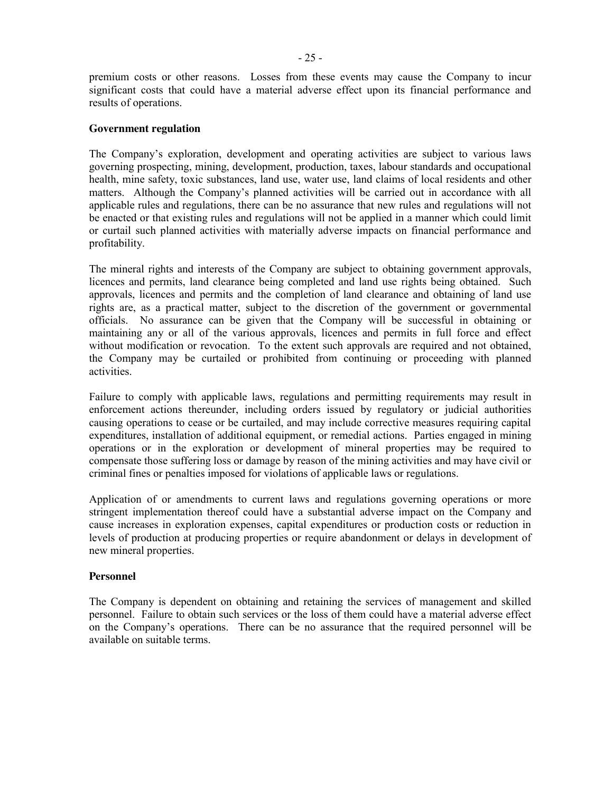premium costs or other reasons. Losses from these events may cause the Company to incur significant costs that could have a material adverse effect upon its financial performance and results of operations.

#### **Government regulation**

The Company's exploration, development and operating activities are subject to various laws governing prospecting, mining, development, production, taxes, labour standards and occupational health, mine safety, toxic substances, land use, water use, land claims of local residents and other matters. Although the Company's planned activities will be carried out in accordance with all applicable rules and regulations, there can be no assurance that new rules and regulations will not be enacted or that existing rules and regulations will not be applied in a manner which could limit or curtail such planned activities with materially adverse impacts on financial performance and profitability.

The mineral rights and interests of the Company are subject to obtaining government approvals, licences and permits, land clearance being completed and land use rights being obtained. Such approvals, licences and permits and the completion of land clearance and obtaining of land use rights are, as a practical matter, subject to the discretion of the government or governmental officials. No assurance can be given that the Company will be successful in obtaining or maintaining any or all of the various approvals, licences and permits in full force and effect without modification or revocation. To the extent such approvals are required and not obtained, the Company may be curtailed or prohibited from continuing or proceeding with planned activities.

Failure to comply with applicable laws, regulations and permitting requirements may result in enforcement actions thereunder, including orders issued by regulatory or judicial authorities causing operations to cease or be curtailed, and may include corrective measures requiring capital expenditures, installation of additional equipment, or remedial actions. Parties engaged in mining operations or in the exploration or development of mineral properties may be required to compensate those suffering loss or damage by reason of the mining activities and may have civil or criminal fines or penalties imposed for violations of applicable laws or regulations.

Application of or amendments to current laws and regulations governing operations or more stringent implementation thereof could have a substantial adverse impact on the Company and cause increases in exploration expenses, capital expenditures or production costs or reduction in levels of production at producing properties or require abandonment or delays in development of new mineral properties.

#### **Personnel**

The Company is dependent on obtaining and retaining the services of management and skilled personnel. Failure to obtain such services or the loss of them could have a material adverse effect on the Company's operations. There can be no assurance that the required personnel will be available on suitable terms.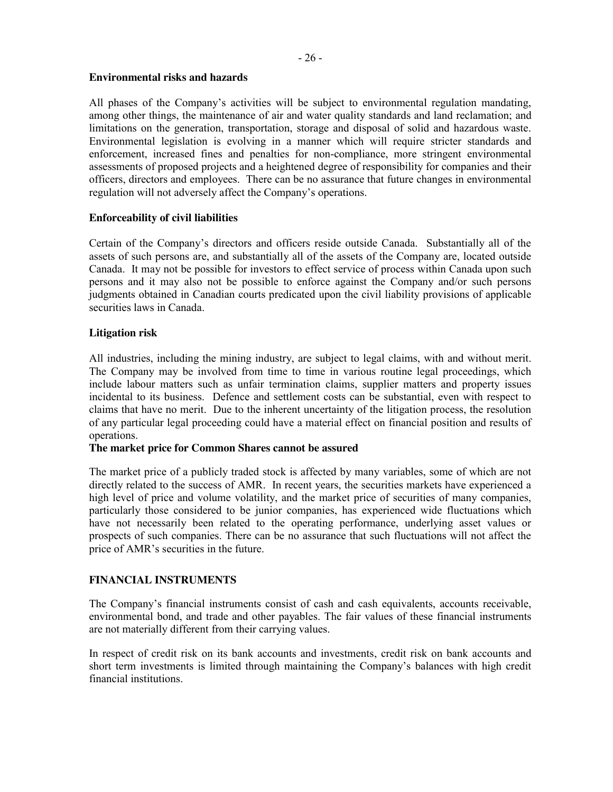#### **Environmental risks and hazards**

All phases of the Company's activities will be subject to environmental regulation mandating, among other things, the maintenance of air and water quality standards and land reclamation; and limitations on the generation, transportation, storage and disposal of solid and hazardous waste. Environmental legislation is evolving in a manner which will require stricter standards and enforcement, increased fines and penalties for non-compliance, more stringent environmental assessments of proposed projects and a heightened degree of responsibility for companies and their officers, directors and employees. There can be no assurance that future changes in environmental regulation will not adversely affect the Company's operations.

## **Enforceability of civil liabilities**

Certain of the Company's directors and officers reside outside Canada. Substantially all of the assets of such persons are, and substantially all of the assets of the Company are, located outside Canada. It may not be possible for investors to effect service of process within Canada upon such persons and it may also not be possible to enforce against the Company and/or such persons judgments obtained in Canadian courts predicated upon the civil liability provisions of applicable securities laws in Canada.

## **Litigation risk**

All industries, including the mining industry, are subject to legal claims, with and without merit. The Company may be involved from time to time in various routine legal proceedings, which include labour matters such as unfair termination claims, supplier matters and property issues incidental to its business. Defence and settlement costs can be substantial, even with respect to claims that have no merit. Due to the inherent uncertainty of the litigation process, the resolution of any particular legal proceeding could have a material effect on financial position and results of operations.

#### **The market price for Common Shares cannot be assured**

The market price of a publicly traded stock is affected by many variables, some of which are not directly related to the success of AMR. In recent years, the securities markets have experienced a high level of price and volume volatility, and the market price of securities of many companies, particularly those considered to be junior companies, has experienced wide fluctuations which have not necessarily been related to the operating performance, underlying asset values or prospects of such companies. There can be no assurance that such fluctuations will not affect the price of AMR's securities in the future.

## **FINANCIAL INSTRUMENTS**

The Company's financial instruments consist of cash and cash equivalents, accounts receivable, environmental bond, and trade and other payables. The fair values of these financial instruments are not materially different from their carrying values.

In respect of credit risk on its bank accounts and investments, credit risk on bank accounts and short term investments is limited through maintaining the Company's balances with high credit financial institutions.